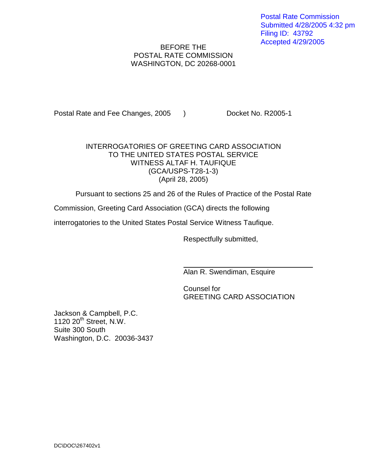Postal Rate Commission Submitted 4/28/2005 4:32 pm Filing ID: 43792 Accepted 4/29/2005

## BEFORE THE POSTAL RATE COMMISSION WASHINGTON, DC 20268-0001

Postal Rate and Fee Changes, 2005 ) Docket No. R2005-1

## INTERROGATORIES OF GREETING CARD ASSOCIATION TO THE UNITED STATES POSTAL SERVICE WITNESS ALTAF H. TAUFIQUE (GCA/USPS-T28-1-3) (April 28, 2005)

Pursuant to sections 25 and 26 of the Rules of Practice of the Postal Rate

Commission, Greeting Card Association (GCA) directs the following

interrogatories to the United States Postal Service Witness Taufique.

Respectfully submitted,

Alan R. Swendiman, Esquire

Counsel for GREETING CARD ASSOCIATION

Jackson & Campbell, P.C.  $1120 20<sup>th</sup>$  Street, N.W. Suite 300 South Washington, D.C. 20036-3437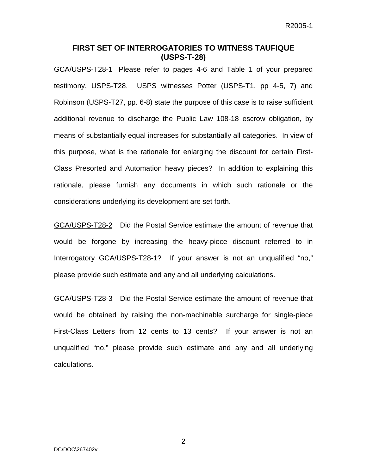## **FIRST SET OF INTERROGATORIES TO WITNESS TAUFIQUE (USPS-T-28)**

GCA/USPS-T28-1 Please refer to pages 4-6 and Table 1 of your prepared testimony, USPS-T28. USPS witnesses Potter (USPS-T1, pp 4-5, 7) and Robinson (USPS-T27, pp. 6-8) state the purpose of this case is to raise sufficient additional revenue to discharge the Public Law 108-18 escrow obligation, by means of substantially equal increases for substantially all categories. In view of this purpose, what is the rationale for enlarging the discount for certain First-Class Presorted and Automation heavy pieces? In addition to explaining this rationale, please furnish any documents in which such rationale or the considerations underlying its development are set forth.

GCA/USPS-T28-2 Did the Postal Service estimate the amount of revenue that would be forgone by increasing the heavy-piece discount referred to in Interrogatory GCA/USPS-T28-1? If your answer is not an unqualified "no," please provide such estimate and any and all underlying calculations.

GCA/USPS-T28-3 Did the Postal Service estimate the amount of revenue that would be obtained by raising the non-machinable surcharge for single-piece First-Class Letters from 12 cents to 13 cents? If your answer is not an unqualified "no," please provide such estimate and any and all underlying calculations.

2